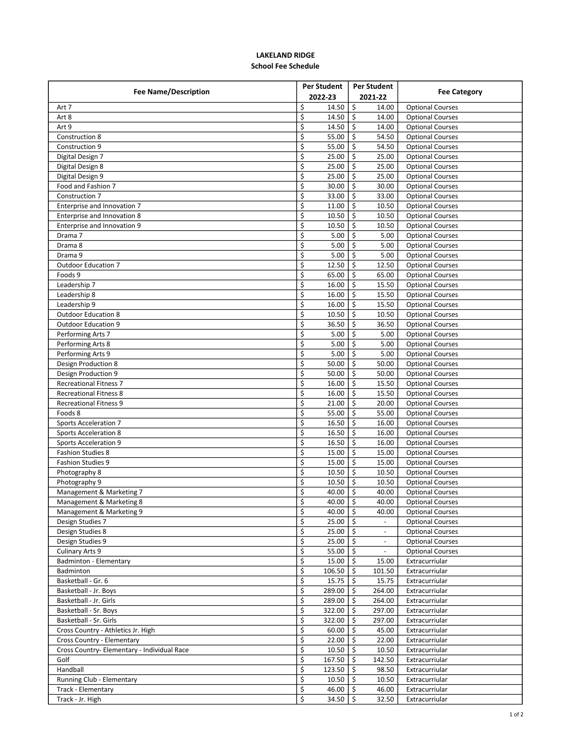## LAKELAND RIDGE School Fee Schedule

| <b>Fee Name/Description</b>                 | <b>Per Student</b>        | <b>Per Student</b>       |                         |
|---------------------------------------------|---------------------------|--------------------------|-------------------------|
|                                             | 2022-23                   | 2021-22                  | <b>Fee Category</b>     |
| Art 7                                       | \$<br>14.50               | \$<br>14.00              | <b>Optional Courses</b> |
| Art 8                                       | \$<br>14.50               | \$<br>14.00              | <b>Optional Courses</b> |
| Art 9                                       | \$<br>14.50               | \$<br>14.00              | <b>Optional Courses</b> |
| Construction 8                              | \$<br>55.00               | Ś.<br>54.50              | <b>Optional Courses</b> |
| Construction 9                              | \$<br>55.00               | \$<br>54.50              | <b>Optional Courses</b> |
| Digital Design 7                            | \$<br>25.00               | Ś.<br>25.00              | <b>Optional Courses</b> |
| Digital Design 8                            | \$<br>25.00               | \$<br>25.00              | <b>Optional Courses</b> |
| Digital Design 9                            | \$<br>25.00               | \$<br>25.00              | <b>Optional Courses</b> |
| Food and Fashion 7                          | \$<br>30.00               | \$<br>30.00              | <b>Optional Courses</b> |
| Construction 7                              | \$<br>33.00               | Ŝ.<br>33.00              | <b>Optional Courses</b> |
| Enterprise and Innovation 7                 | \$<br>11.00               | \$<br>10.50              | <b>Optional Courses</b> |
| Enterprise and Innovation 8                 | \$<br>10.50               | Ŝ.<br>10.50              | <b>Optional Courses</b> |
| Enterprise and Innovation 9                 | \$<br>10.50               | \$<br>10.50              | <b>Optional Courses</b> |
| Drama 7                                     | \$<br>5.00                | Ŝ.<br>5.00               | <b>Optional Courses</b> |
| Drama 8                                     | \$<br>5.00                | \$<br>5.00               | <b>Optional Courses</b> |
| Drama 9                                     | \$<br>5.00                | $\mathsf{S}$<br>5.00     |                         |
| <b>Outdoor Education 7</b>                  | \$<br>12.50               | \$<br>12.50              | <b>Optional Courses</b> |
| Foods 9                                     | $\overline{\xi}$<br>65.00 | Ś.<br>65.00              | <b>Optional Courses</b> |
|                                             |                           | \$                       | <b>Optional Courses</b> |
| Leadership 7                                | \$<br>16.00               | 15.50                    | <b>Optional Courses</b> |
| Leadership 8                                | \$<br>16.00               | \$<br>15.50              | <b>Optional Courses</b> |
| Leadership 9                                | \$<br>16.00               | \$<br>15.50              | <b>Optional Courses</b> |
| <b>Outdoor Education 8</b>                  | \$<br>10.50               | Ś.<br>10.50              | <b>Optional Courses</b> |
| <b>Outdoor Education 9</b>                  | \$<br>36.50               | Ś<br>36.50               | <b>Optional Courses</b> |
| Performing Arts 7                           | \$<br>5.00                | \$<br>5.00               | <b>Optional Courses</b> |
| Performing Arts 8                           | \$<br>5.00                | Ŝ.<br>5.00               | <b>Optional Courses</b> |
| Performing Arts 9                           | \$<br>5.00                | \$<br>5.00               | <b>Optional Courses</b> |
| <b>Design Production 8</b>                  | \$<br>50.00               | \$<br>50.00              | <b>Optional Courses</b> |
| Design Production 9                         | \$<br>50.00               | \$<br>50.00              | <b>Optional Courses</b> |
| <b>Recreational Fitness 7</b>               | \$<br>16.00               | Ś.<br>15.50              | <b>Optional Courses</b> |
| <b>Recreational Fitness 8</b>               | \$<br>16.00               | \$<br>15.50              | <b>Optional Courses</b> |
| <b>Recreational Fitness 9</b>               | \$<br>21.00               | Ś.<br>20.00              | <b>Optional Courses</b> |
| Foods 8                                     | \$<br>55.00               | \$<br>55.00              | <b>Optional Courses</b> |
| <b>Sports Acceleration 7</b>                | \$<br>16.50               | \$<br>16.00              | <b>Optional Courses</b> |
| <b>Sports Acceleration 8</b>                | \$<br>16.50               | \$<br>16.00              | <b>Optional Courses</b> |
| <b>Sports Acceleration 9</b>                | \$<br>16.50               | Ŝ.<br>16.00              | <b>Optional Courses</b> |
| <b>Fashion Studies 8</b>                    | \$<br>15.00               | \$<br>15.00              | <b>Optional Courses</b> |
| <b>Fashion Studies 9</b>                    | \$<br>15.00               | Ŝ.<br>15.00              | <b>Optional Courses</b> |
| Photography 8                               | \$<br>10.50               | \$<br>10.50              | <b>Optional Courses</b> |
| Photography 9                               | \$<br>10.50               | Ŝ.<br>10.50              | <b>Optional Courses</b> |
| Management & Marketing 7                    | \$<br>40.00               | \$<br>40.00              | <b>Optional Courses</b> |
| Management & Marketing 8                    | Ş<br>40.00   \$           | 40.00                    | <b>Optional Courses</b> |
| Management & Marketing 9                    | \$<br>40.00 $\frac{1}{5}$ | 40.00                    | <b>Optional Courses</b> |
| Design Studies 7                            | \$<br>$25.00$   \$        |                          | <b>Optional Courses</b> |
| Design Studies 8                            | \$<br>$25.00$   \$        | $\overline{\phantom{a}}$ | <b>Optional Courses</b> |
| Design Studies 9                            | \$<br>$25.00$   \$        |                          | <b>Optional Courses</b> |
| <b>Culinary Arts 9</b>                      | \$<br>$55.00$   \$        |                          | <b>Optional Courses</b> |
| Badminton - Elementary                      | \$<br>15.00               | ۱\$<br>15.00             | Extracurriular          |
| Badminton                                   | \$<br>106.50              | Ŝ.<br>101.50             | Extracurriular          |
| Basketball - Gr. 6                          | \$<br>15.75               | \$<br>15.75              | Extracurriular          |
| Basketball - Jr. Boys                       | \$<br>289.00              | \$<br>264.00             | Extracurriular          |
| Basketball - Jr. Girls                      | \$<br>289.00              | \$<br>264.00             | Extracurriular          |
| Basketball - Sr. Boys                       | \$<br>322.00              | \$<br>297.00             | Extracurriular          |
| Basketball - Sr. Girls                      | \$<br>322.00              | \$<br>297.00             | Extracurriular          |
| Cross Country - Athletics Jr. High          | \$<br>60.00               | \$<br>45.00              | Extracurriular          |
| Cross Country - Elementary                  | \$<br>22.00               | $\mathsf{S}$<br>22.00    | Extracurriular          |
| Cross Country- Elementary - Individual Race | \$<br>$10.50$   \$        | 10.50                    | Extracurriular          |
| Golf                                        | \$<br>167.50              | \$<br>142.50             | Extracurriular          |
| Handball                                    | \$<br>$123.50 \mid \xi$   | 98.50                    | Extracurriular          |
| Running Club - Elementary                   | \$<br>$10.50$   \$        | 10.50                    | Extracurriular          |
| Track - Elementary                          | \$<br>46.00 $\frac{1}{5}$ | 46.00                    | Extracurriular          |
| Track - Jr. High                            | \$<br>34.50 $\frac{1}{5}$ | 32.50                    | Extracurriular          |